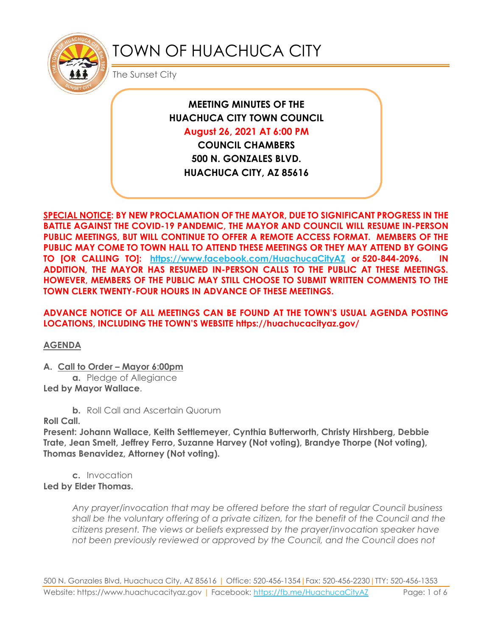

# TOWN OF HUACHUCA CITY

The Sunset City

**MEETING MINUTES OF THE HUACHUCA CITY TOWN COUNCIL** 

**August 26, 2021 AT 6:00 PM**

**COUNCIL CHAMBERS 500 N. GONZALES BLVD. HUACHUCA CITY, AZ 85616**

**SPECIAL NOTICE: BY NEW PROCLAMATION OF THE MAYOR, DUE TO SIGNIFICANT PROGRESS IN THE BATTLE AGAINST THE COVID-19 PANDEMIC, THE MAYOR AND COUNCIL WILL RESUME IN-PERSON PUBLIC MEETINGS, BUT WILL CONTINUE TO OFFER A REMOTE ACCESS FORMAT. MEMBERS OF THE PUBLIC MAY COME TO TOWN HALL TO ATTEND THESE MEETINGS OR THEY MAY ATTEND BY GOING TO [OR CALLING TO]: <https://www.facebook.com/HuachucaCityAZ> or 520-844-2096. IN ADDITION, THE MAYOR HAS RESUMED IN-PERSON CALLS TO THE PUBLIC AT THESE MEETINGS. HOWEVER, MEMBERS OF THE PUBLIC MAY STILL CHOOSE TO SUBMIT WRITTEN COMMENTS TO THE TOWN CLERK TWENTY-FOUR HOURS IN ADVANCE OF THESE MEETINGS.** 

**ADVANCE NOTICE OF ALL MEETINGS CAN BE FOUND AT THE TOWN'S USUAL AGENDA POSTING LOCATIONS, INCLUDING THE TOWN'S WEBSITE https://huachucacityaz.gov/**

**AGENDA**

**A. Call to Order – Mayor 6:00pm**

**a.** Pledge of Allegiance **Led by Mayor Wallace**.

**b.** Roll Call and Ascertain Quorum

**Roll Call.**

**Present: Johann Wallace, Keith Settlemeyer, Cynthia Butterworth, Christy Hirshberg, Debbie Trate, Jean Smelt, Jeffrey Ferro, Suzanne Harvey (Not voting), Brandye Thorpe (Not voting), Thomas Benavidez, Attorney (Not voting).**

**c.** Invocation **Led by Elder Thomas.**

> *Any prayer/invocation that may be offered before the start of regular Council business shall be the voluntary offering of a private citizen, for the benefit of the Council and the citizens present. The views or beliefs expressed by the prayer/invocation speaker have not been previously reviewed or approved by the Council, and the Council does not*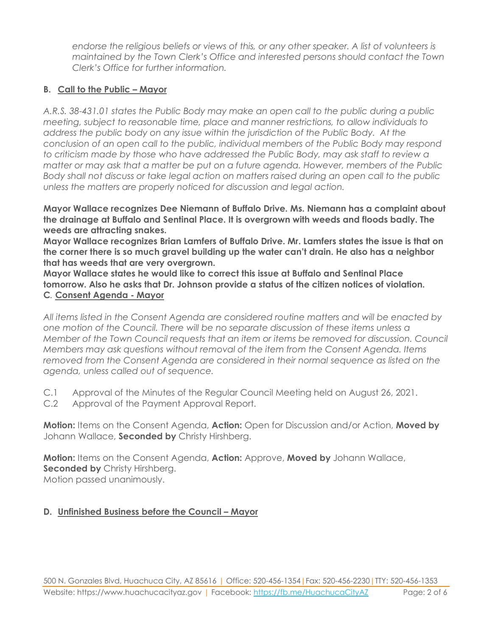*endorse the religious beliefs or views of this, or any other speaker. A list of volunteers is maintained by the Town Clerk's Office and interested persons should contact the Town Clerk's Office for further information.*

# **B. Call to the Public – Mayor**

*A.R.S. 38-431.01 states the Public Body may make an open call to the public during a public meeting, subject to reasonable time, place and manner restrictions, to allow individuals to address the public body on any issue within the jurisdiction of the Public Body. At the conclusion of an open call to the public, individual members of the Public Body may respond to criticism made by those who have addressed the Public Body, may ask staff to review a matter or may ask that a matter be put on a future agenda. However, members of the Public Body shall not discuss or take legal action on matters raised during an open call to the public unless the matters are properly noticed for discussion and legal action.*

**Mayor Wallace recognizes Dee Niemann of Buffalo Drive. Ms. Niemann has a complaint about the drainage at Buffalo and Sentinal Place. It is overgrown with weeds and floods badly. The weeds are attracting snakes.**

**Mayor Wallace recognizes Brian Lamfers of Buffalo Drive. Mr. Lamfers states the issue is that on the corner there is so much gravel building up the water can't drain. He also has a neighbor that has weeds that are very overgrown.** 

**Mayor Wallace states he would like to correct this issue at Buffalo and Sentinal Place tomorrow. Also he asks that Dr. Johnson provide a status of the citizen notices of violation. C***.* **Consent Agenda - Mayor**

*All items listed in the Consent Agenda are considered routine matters and will be enacted by one motion of the Council. There will be no separate discussion of these items unless a Member of the Town Council requests that an item or items be removed for discussion. Council Members may ask questions without removal of the item from the Consent Agenda. Items removed from the Consent Agenda are considered in their normal sequence as listed on the agenda, unless called out of sequence.*

- C.1 Approval of the Minutes of the Regular Council Meeting held on August 26, 2021.
- C.2 Approval of the Payment Approval Report.

**Motion:** Items on the Consent Agenda, **Action:** Open for Discussion and/or Action, **Moved by** Johann Wallace, **Seconded by** Christy Hirshberg.

**Motion:** Items on the Consent Agenda, **Action:** Approve, **Moved by** Johann Wallace, **Seconded by Christy Hirshberg.** Motion passed unanimously.

## **D.** Unfinished Business before the Council – Mayor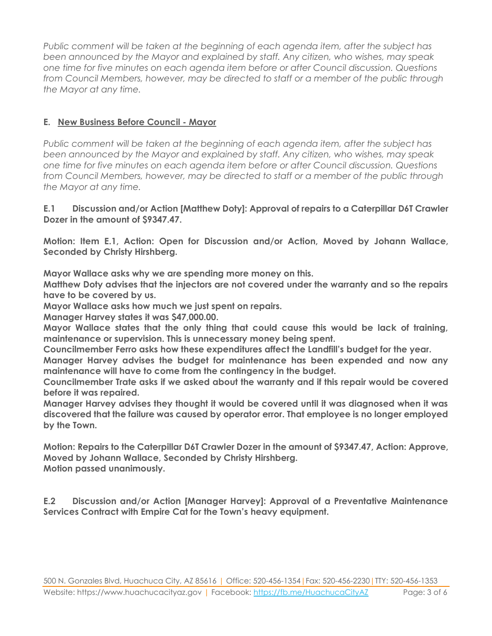*Public comment will be taken at the beginning of each agenda item, after the subject has been announced by the Mayor and explained by staff. Any citizen, who wishes, may speak one time for five minutes on each agenda item before or after Council discussion. Questions from Council Members, however, may be directed to staff or a member of the public through the Mayor at any time.*

# **E. New Business Before Council - Mayor**

*Public comment will be taken at the beginning of each agenda item, after the subject has been announced by the Mayor and explained by staff. Any citizen, who wishes, may speak one time for five minutes on each agenda item before or after Council discussion. Questions from Council Members, however, may be directed to staff or a member of the public through the Mayor at any time.*

#### **E.1 Discussion and/or Action [Matthew Doty]: Approval of repairs to a Caterpillar D6T Crawler Dozer in the amount of \$9347.47.**

**Motion: Item E.1, Action: Open for Discussion and/or Action, Moved by Johann Wallace, Seconded by Christy Hirshberg.**

**Mayor Wallace asks why we are spending more money on this.** 

**Matthew Doty advises that the injectors are not covered under the warranty and so the repairs have to be covered by us.**

**Mayor Wallace asks how much we just spent on repairs.** 

**Manager Harvey states it was \$47,000.00.**

**Mayor Wallace states that the only thing that could cause this would be lack of training, maintenance or supervision. This is unnecessary money being spent.**

**Councilmember Ferro asks how these expenditures affect the Landfill's budget for the year.**

**Manager Harvey advises the budget for maintenance has been expended and now any maintenance will have to come from the contingency in the budget.**

**Councilmember Trate asks if we asked about the warranty and if this repair would be covered before it was repaired.**

**Manager Harvey advises they thought it would be covered until it was diagnosed when it was discovered that the failure was caused by operator error. That employee is no longer employed by the Town.**

**Motion: Repairs to the Caterpillar D6T Crawler Dozer in the amount of \$9347.47, Action: Approve, Moved by Johann Wallace, Seconded by Christy Hirshberg. Motion passed unanimously.**

**E.2 Discussion and/or Action [Manager Harvey]: Approval of a Preventative Maintenance Services Contract with Empire Cat for the Town's heavy equipment.**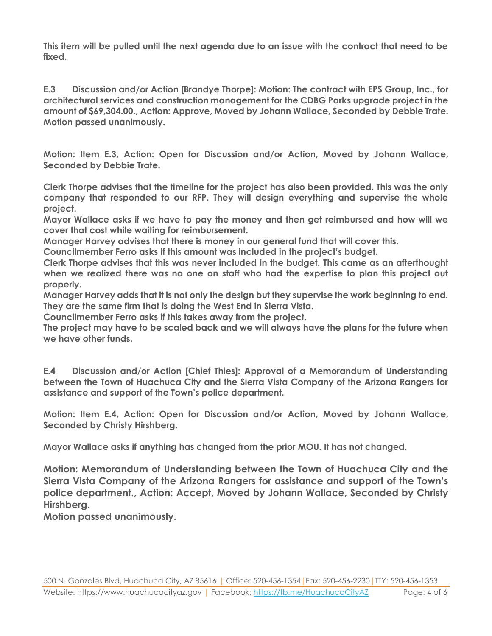**This item will be pulled until the next agenda due to an issue with the contract that need to be fixed.**

**E.3 Discussion and/or Action [Brandye Thorpe]: Motion: The contract with EPS Group, Inc., for architectural services and construction management for the CDBG Parks upgrade project in the amount of \$69,304.00., Action: Approve, Moved by Johann Wallace, Seconded by Debbie Trate. Motion passed unanimously.**

**Motion: Item E.3, Action: Open for Discussion and/or Action, Moved by Johann Wallace, Seconded by Debbie Trate.**

**Clerk Thorpe advises that the timeline for the project has also been provided. This was the only company that responded to our RFP. They will design everything and supervise the whole project.**

**Mayor Wallace asks if we have to pay the money and then get reimbursed and how will we cover that cost while waiting for reimbursement.**

**Manager Harvey advises that there is money in our general fund that will cover this.**

**Councilmember Ferro asks if this amount was included in the project's budget.** 

**Clerk Thorpe advises that this was never included in the budget. This came as an afterthought when we realized there was no one on staff who had the expertise to plan this project out properly.**

**Manager Harvey adds that it is not only the design but they supervise the work beginning to end. They are the same firm that is doing the West End in Sierra Vista.**

**Councilmember Ferro asks if this takes away from the project.**

**The project may have to be scaled back and we will always have the plans for the future when we have other funds.**

**E.4 Discussion and/or Action [Chief Thies]: Approval of a Memorandum of Understanding between the Town of Huachuca City and the Sierra Vista Company of the Arizona Rangers for assistance and support of the Town's police department.**

**Motion: Item E.4, Action: Open for Discussion and/or Action, Moved by Johann Wallace, Seconded by Christy Hirshberg.**

**Mayor Wallace asks if anything has changed from the prior MOU. It has not changed.**

**Motion: Memorandum of Understanding between the Town of Huachuca City and the Sierra Vista Company of the Arizona Rangers for assistance and support of the Town's police department., Action: Accept, Moved by Johann Wallace, Seconded by Christy Hirshberg.**

**Motion passed unanimously.**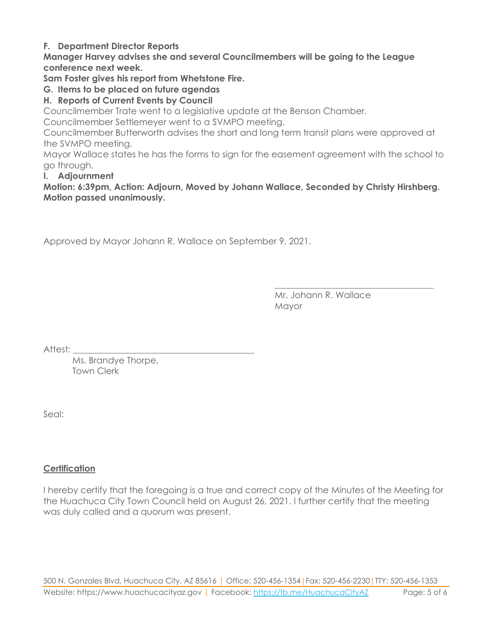#### **F. Department Director Reports**

**Manager Harvey advises she and several Councilmembers will be going to the League conference next week.**

**Sam Foster gives his report from Whetstone Fire.**

**G. Items to be placed on future agendas**

## **H. Reports of Current Events by Council**

Councilmember Trate went to a legislative update at the Benson Chamber.

Councilmember Settlemeyer went to a SVMPO meeting.

Councilmember Butterworth advises the short and long term transit plans were approved at the SVMPO meeting.

Mayor Wallace states he has the forms to sign for the easement agreement with the school to go through.

#### **I. Adjournment**

**Motion: 6:39pm, Action: Adjourn, Moved by Johann Wallace, Seconded by Christy Hirshberg. Motion passed unanimously.**

Approved by Mayor Johann R. Wallace on September 9, 2021.

Mr. Johann R. Wallace Mayor

\_\_\_\_\_\_\_\_\_\_\_\_\_\_\_\_\_\_\_\_\_\_\_\_\_\_\_\_\_\_\_\_\_\_\_\_

Attest:

Ms. Brandye Thorpe, Town Clerk

Seal:

## **Certification**

I hereby certify that the foregoing is a true and correct copy of the Minutes of the Meeting for the Huachuca City Town Council held on August 26, 2021. I further certify that the meeting was duly called and a quorum was present.